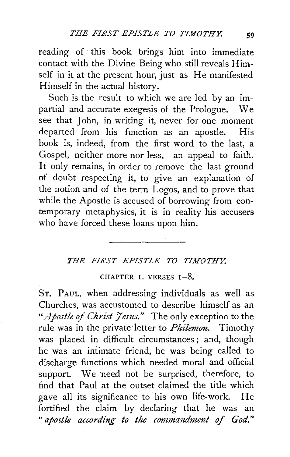reading of this book brings him into immediate contact with the Divine Being who still reveals Himself in it at the present hour, just as He manifested Himself in the actual history.

Such is the result to which we are led by an impartial and accurate exegesis of the Prologue. We see that John, in writing it, never for one moment departed from his function as an apostle. His book is, indeed, from the first word to the last, a Gospel, neither more nor less,—an appeal to faith. It only remains, in order to remove the last ground of doubt respecting it, to give an explanation of the notion and of the term Logos, and to prove that while the Apostle is accused of borrowing from contemporary metaphysics, it is in reality his accusers who have forced these loans upon him.

## *THE FIRST EPISTLE TO TIMOTHY.*

## CHAPTER I. VERSES  $1-8$ .

ST. PAUL, when addressing individuals as well as Churches, was accustomed to describe himself as an "Apostle of Christ Jesus." The only exception to the rule was in the private letter to *Philemon.* Timothy was placed in difficult circumstances ; and, though he was an intimate friend, he was being called to discharge functions which needed moral and official support. We need not be surprised, therefore, to find that Paul at the outset claimed the title which gave all its significance to his own life-work. He fortified the claim by declaring that he was an " apostle according to the commandment of God."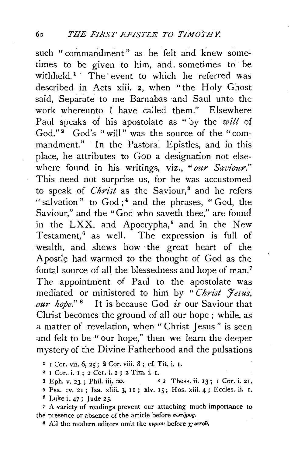such " commandment" as he felt and knew sometimes to be given to him, and. sometimes to be withheld.<sup>1</sup> The event to which he referred was described in Acts xiii. *2,* when "the Holy Ghost said, Separate to me Barnabas and Saul unto the work whereunto I have called them." Elsewhere Paul speaks of his apostolate as " by the *will* of  $God." <sup>2</sup> God's "will" was the source of the "com$ mandment." In the Pastoral Epistles, and in this place, he attributes to GoD a designation not elsewhere found in his writings, viz., *"our Saviour."*  This need not surprise us, for he was accustomed to speak of *Christ* as the Saviour,<sup>8</sup> and he refers "salvation" to God;<sup>4</sup> and the phrases, "God, the Saviour," and the "God who saveth thee," are found in the  $LXX$ . and Apocrypha,<sup> $5$ </sup> and in the New Testament,<sup>6</sup> as well. The expression is full of wealth, and shews how ·the great heart of the Apostle had warmed to the thought of God as the fontal source of all the blessedness and hope of man.<sup>7</sup> The appointment of Paul to the apostolate was mediated or ministered to him by " *Christ Jesus, our hope."* 8 It is because God *is* our Saviour that Christ becomes the ground of all our hope ; while, as a matter of revelation, when " Christ Jesus " is seen and felt to be " our hope," then we learn the deeper mystery of the Divine Fatherhood and the pulsations

1 r Cor. vii. 6, 25; 2 Cor. viii. 8; cf. Tit. i. I.

2 I Cor. i. I ; 2 Cor. i. I ; 2 Tim. i. I.

3 Eph. v. 23; Phil. iii. 20. 42 Thess. ii. 13; I Cor. i. 21.

5 Psa. CV. 2I; Isa. xliii. 3. JI ; xlv. rs; Hos. xiii. 4; Eccles. li. I.

*<sup>6</sup>*Luke i. 47; Jude 25.

<sup>7</sup> A variety of readings prevent our attaching much importance to the presence or absence of the article before  $\sigma\omega\tau\eta\rho o\varsigma$ .

 $^8$  All the modern editors omit the *kvptov* before *x*, wrow.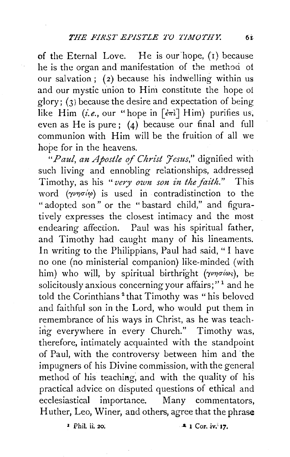of the Eternal Love. He is our'hope, (r) because he is the organ and manifestation of the method of our salvation; (2) because his indwelling within us and our mystic union to Him constitute the hope of glory; (3) because the desire and expectation of being like Him *(i.e.*, our "hope in  $\lceil \frac{2\pi i}{1 + m} \rceil$  Him) purifies us, even as He is pure; (4) because our final and full communion with Him will be the fruition of all we hope for in the heavens.

"Paul, an Apostle of Christ Jesus," dignified with such living and ennobling relationships, addressed Timothy, as his *"very own son in the faith."* This word ( $\gamma \nu \eta \sigma \omega$ ) is used in contradistinction to the " adopted son" or the "bastard child," and figuratively expresses the closest intimacy and the most endearing affection. Paul was his spiritual father, and Timothy had caught many of his lineaments. In writing to the Philippians, Paul had said, " I have no one (no ministerial companion) like-minded (with him) who will, by spiritual birthright ( $\gamma \nu \eta \sigma \omega_s$ ), be solicitously anxious concerning your affairs;"<sup>1</sup> and he told the Corinthians<sup>2</sup> that Timothy was "his beloved and faithful son in the Lord, who would put them in remembrance of his ways in Christ, as he was teach~ ing everywhere in every Church." Timothy was, therefore, intimately acquainted with the standpoint of Paul, with the controversy between him and the impugners of his Divine commission, with the general method of his teaching; and with the quality of his practical advice on disputed questions of ethical and ecclesiastical importance. Many commentators, Huther, Leo, Winer, and others, agree that the phrase

**J PhiL** ii, 20; **. A 1** Cor. iv;<sup>3</sup> **17**.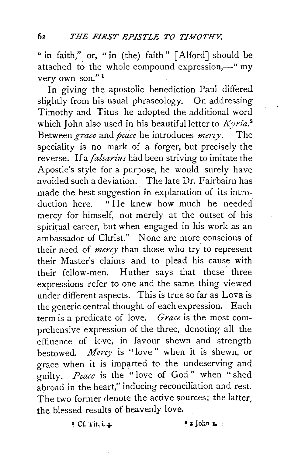" in faith," or, " in (the) faith" [Alford] should be attached to the whole compound expression, $-\omega$  my very own son." <sup>1</sup>

In giving the apostolic benediction Paul differed slightly from his usual phraseology. On addressing Timothy and Titus he adopted the additional word which John also used in his beautiful letter to *Kyria.* <sup>2</sup> Between *grace* and *peace* he introduces *mercy.* The speciality is no mark of a forger, but precisely the reverse. If a *falsarius* had been striving to imitate the Apostle's style for a purpose, he would surely have avoided such a deviation. The late Dr. Fairbairn has made the best suggestion in explanation of its introduction here. "He knew how much he needed mercy for himself, not merely at the outset of his spiritual career, but when engaged in his work as an ambassador of Christ." None are more conscious of their need of *mercy* than those who try to represent their Master's claims and to plead his cause with their fellow-men. Huther says that these' three expressions refer to one and the same thing viewed under different aspects. This is true so far as Love is the generic central thought of each expression. Each term is a predicate of love. *Grace* is the most comprehensive expression of the three, denoting all the effluence of love, in favour shewn and strength bestowed. *Mercy* is "love " when it is shewn, or grace when it is imparted to the undeserving and guilty. *Peace* is the "love of God" when "shed abroad in the heart," inducing reconciliation and rest. The two former denote the active sources; the latter, the blessed results of heavenly love.

 $5$  Cf. Tit, i. 4.

 $*$  3 John L  $_2$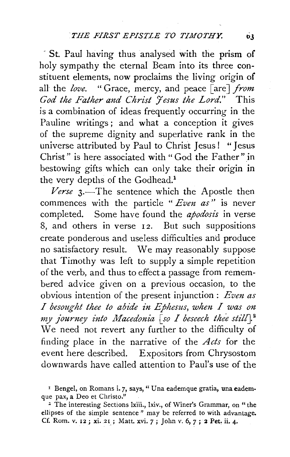" St. Paul having thus analysed with the prism of holy sympathy the eternal Beam into its three constituent elements, now proclaims the living origin of all the *love.* "Grace, mercy, and peace [are] *from* God the Father and Christ *Jesus the Lord.*" This is a combination of ideas frequently occurring in the Pauline writings ; and what a conception it gives of the supreme dignity and superlative rank in the universe attributed by Paul to Christ Jesus! "Jesus Christ" is here associated with " God the Father" in bestowing gifts which can only take their origin in the very depths of the Godhead.<sup>1</sup>

Verse 3.—The sentence which the Apostle then commences with the particle " *Even as"* is never completed. Some have found the *apodosis* in verse 8, and others in verse 12. But such suppositions create ponderous and useless difficulties and produce no satisfactory result. We may reasonably suppose that Timothy was left to supply a simple repetition of the verb, and thus to effect a passage from remembered advice given on a previous occasion, to the obvious intention of the present injunction: *Even as I besought thee to abide in Ephesus, when I was on my journey into Macedonia* [so *I beseech thee still*].<sup>2</sup> We need not revert any further to the difficulty of finding place in the narrative of the *Acts* for the event here described. Expositors from Chrysostom downwards have called attention to Paul's use of the

<sup>&</sup>lt;sup>1</sup> Bengel, on Romans i. 7, says, " Una eademque gratia, una eademque pax, a Deo et Christo."

z The interesting Sections lxiii., lxiv., of Winer's Grammar, on "the ellipses of the simple sentence " may be referred to with advantage. Cf. Rom. v. 12; xi. 21,; Matt. xvi. 7; John v. 6, *7;* 2 Pet. ii. 4·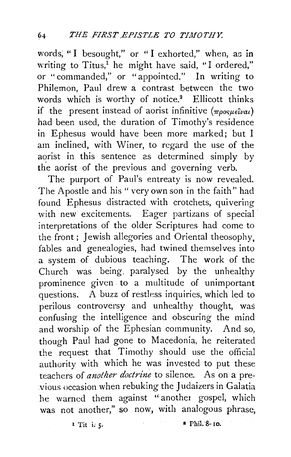words; "I besought," or "I exhorted," when, as in writing to Titus,<sup>1</sup> he might have said, "I ordered," or "commanded," or "appointed." In writing to Philemon, Paul drew a contrast between the two words which is worthy of notice.<sup>2</sup> Ellicott thinks if the present instead of aorist infinitive  $(\pi\rho_{0}g_{\mu\epsilon}\hat{i}\nu a\iota)$ had been used, the duration of Timothy's residence in Ephesus would have been more marked; but I am inclined, with Winer, to regard the use of the aorist in this sentence as determined simply by the aorist of the previous and governing verb.

The purport of Paul's entreaty is now revealed. The Apostle and his " very own son in the faith" had found Ephesus distracted with crotchets, quivering with new excitements. Eager partizans of special interpretations of the older Scriptures had come to the front; Jewish allegories and Oriental theosophy, fables and genealogies, had twined themselves into a system of dubious teaching. The work of the Church was being. paralysed by the unhealthy prominence given to a multitude of unimportant questions. A buzz of restless inquiries, which led to perilous controversy and unhealthy thought, was confusing the intelligence and obscuring the mind and worship of the Ephesian community. And so, though Paul had gone to Macedonia, he reiterated the request that Timothy should use the official authority with which he was invested to put these teachers of *another doctrine* to silence. As on a previous occasion when rebuking the J udaizers in Galatia he warned them against "another gospel, which was not another," so now, with analogous phrase,

 $\overline{1}$  Tit i. 5.  $\overline{5}$   $\overline{1}$   $\overline{1}$   $\overline{2}$  Thil.  $\overline{8}$ - 10.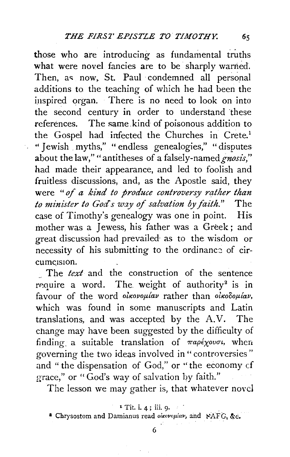those who are introducing as fundamental truths what were novel fancies are to be sharply warned. Then, as now, St. Paul condemned all personal additions to the teaching of which he had been the inspired organ. There is no need to look on into the second century in order to understand these references. The same kind of poisonous addition to the Gospel had infected the Churches in Crete.<sup>1</sup> '' Jewish . myths," " endless genealogies," " disputes about the law,"" antitheses of a falsely-named *gnosis,"*  had made their appearance, and led to foolish and fruitless discussions, and, as the Apostle said, they were *"of a kind to produce controversy rather than to miniSter to God's way of salvation by faith."* The case of Timothy's genealogy was one in point. His mother was a Jewess, his father was a Greek ; and great discussion had prevailed· as to the wisdom or necessity of his submitting to the ordinance of circumcision.

The *text* and the construction of the sentence require a word. The weight of authority<sup>2</sup> is in favour of the word olkovoplav rather than olkooplav, which was found in some manuscripts and Latin translations, and was accepted by the  $A.V.$  The change may have been suggested by the difficulty of finding a suitable translation of  $\pi a \rho \epsilon \chi_o v \sigma \nu$ , when governing the two ideas involved in" controversies" and " the dispensation of God," or ''the economy cf grace," or "God's way of salvation by faith."

The lesson we may gather is, that whatever novel

<sup>1</sup> Tit. i. 4 ; iii. 9·

<sup>&</sup>lt;sup>2</sup> Chrysostom and Damianus read  $o^i$ icovo $\mu$ iav, and  $\angle$ AFG, &c.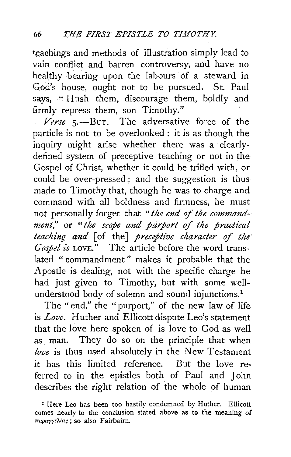teachings and methods of illustration simply lead to vain· conflict and barren controversy, and have no healthy bearing upon the labours· of a steward in God's house, ought not to be pursued. St. Paul says, "Hush them, discourage them, boldly and firmly repress them, son Timothy."

*Verse* 5.-BuT. The adversative force of the particle is not to be overlooked : it is as though the .<br>inquiry might arise whether there was a clearlydefined system of preceptive teaching or not in the Gospel of Christ, whether it could be trifled with, or could be over-pressed.; and the suggestion is thus made to Timothy that, though he was to charge and command with all boldness and firmness, he must not personally forget that *"the end* of *the commandment,"* or *"the scope and purport of the practical teaching and* [of the] *preceptive character of the· Gospel is* LOVE." The article before the word translated " commandment " makes it probable that the Apostle is dealing, not with the specific charge he had just given to Timothy, but with some wellunderstood body of solemn and sound injunctions.<sup>1</sup>

The " end," the "purport," of the new law of life is *Love.* Huther and Ellicott dispute Leo's statement that the love here spoken of is love to God as well as man. They do so on the principle that when *love* is thus used absolutely in the New Testament it has this limited reference. But the love referred to in the epistles both of Paul and John describes the right relation of the whole of human

<sup>&</sup>lt;sup>I</sup> Here Leo has been too hastily condemned by Huther. Ellicott comes nearly to the conclusion stated above as to the meaning of παραγγελίας; so also Fairbairn.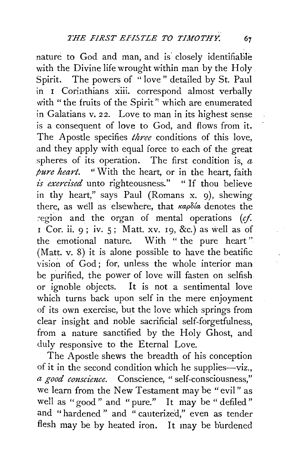nature to God and man, and is closely identifiable with the Divine life wrought within man by the Holy. Spirit. The powers of " love " detailed by St. Paul in I Coriathians xiii. correspond almost verbally with "the fruits of the Spirit" which are enumerated in Galatians v. *22.* Love to man in its highest sense is a consequent of love to God, and flows from it. The Apostle specifies *three* conditions of this love, and they apply with equal force to each of the great spheres of its operation. The first condition is,  $a$ *pure heart.* " With the heart, or in the heart, faith *£s exercised* unto righteousness." " If thou believe in thy heart," says Paul (Romans x. 9), shewing there, as well as elsewhere, that  $\kappa a \rho \delta a$  denotes the region and the organ of mental operations  $(cf.$  $\overline{1}$  Cor. ii. 9; iv. 5; Matt. xv. 19, &c.) as well as of the emotional nature. With " the pure heart" (Matt. v. 8) it is alone possible to have the beatific vision of God; for, unless the whole interior man be purified, the power of love will fasten on selfish or ignoble objects. It is not a sentimental love which turns back upon self in the mere enjoyment of its own exercise, but the love which springs from clear insight and noble sacrificial self-forgetfulness, from a nature sanctified by the Holy Ghost, and duly responsive to the Eternal Love.

The Apostle shews the breadth of his conception of it in the second condition which he supplies-viz., *a good conscience.* Conscience, " self-consciousness," we learn from the New Testament may be "evil " as well as "good" and "pure." It may be "defiled" and "hardened" and "cauterized," even as tender flesh may be by heated iron. It may be burdened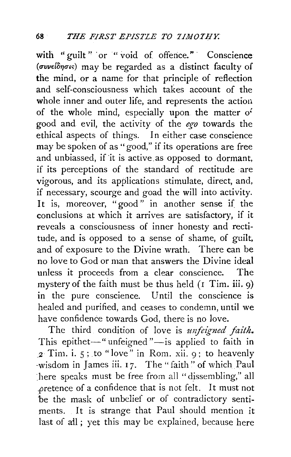with "guilt" or " void of offence." Conscience  $(\sigma v \nu \epsilon i \delta \eta \sigma \kappa)$  may be regarded as a distinct faculty of the mind, or a name for that principle of reflection and self-consciousness which takes account of the whole inner and outer life, and represents the action of the whole mind, especially upon the matter *o:*  good and evil, the activity of the *ego* towards the ethical aspects of things. In either case conscience may be spoken of as "good," if its operations are free and unbiassed, if'it is active.as opposed to dormant, if its perceptions of the standard of rectitude are vigorous, and its applications stimulate, direct, and, if necessary, scourge and goad the will into activity. It is, moreover, "good" in another sense if the conclusions at which it arrives are satisfactory, if it reveals a consciousness of inner honesty and rectitude, and is opposed to a sense of shame, of guilt, and of exposure to the Divine wrath. There can be no love to God or man that answers the Divine ideal unless it proceeds from a clear conscience. The mystery of the faith must be thus held  $($ I Tim. iii. 9) in the pure conscience. Until the conscience is healed and purified, and ceases to condemn, until we have confidence towards God, there is no love.

The third condition of love is *unfeigned faith*. This epithet-" unfeigned "-is applied to faith in *\_2* Tim. i. 5; .to "love" in Rom. xii. 9; to heavenly -wisdom in James iii. 17. The "faith" of which Paul ~here speaks must be free from all "dissembling," all .pretence of a confidence that is not felt. It must not be the mask of unbelief or of contradictory sentiments. It is strange that Paul should mention it last of all; yet this may be explained, because here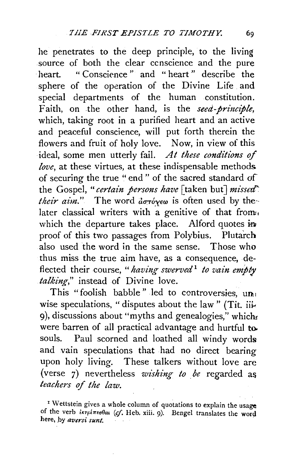he penetrates to the deep principle, to the living source of both the clear ccnscience and the pure heart. " Conscience" and "heart" describe the sphere of the operation of the Divine Life and special departments of the human constitution. Faith, on the other hand, is the *seed-principle,*  which, taking root in a purified heart and an active and peaceful conscience, will put forth therein the flowers and fruit of holy love. Now, in view of this ideal, some men utterly fail. *At these conditions of love,* at these virtues, at these indispensable methods of securing the true " end " of the sacred standard of the Gospel, "*certain persons have* [taken but] *missed*" *their aim.*" The word *aστόχεω* is often used by thelater classical writers with a genitive of that from. which the departure takes place. Alford quotes  $\dot{m}$ proof of this two passages from Polybius. Plutarch also used the word in the same sense. Those who thus miss the true aim have, as a consequence, deflected their course, "*having swerved*<sup>1</sup> to vain empty *talking,"* instead of Divine love.

This "foolish babble" led to controversies,  $un_1$ wise speculations, "disputes about the law" (Tit. iii-9), discussions about "myths and genealogies," which were barren of all practical advantage and hurtful to. souls. Paul scorned and loathed all windy words and vain speculations that had no direct bearing upon holy living. These talkers without love are (verse 7) nevertheless *wishing to be* regarded as *teachers* of *the law.* 

<sup>z</sup> Wettstein gives a whole column of quotations to explain the usage of the verb *iκτρίπεσθαι (cf.* Heb. xiii. 9). Bengel translates the word here, by *aversi sunt*.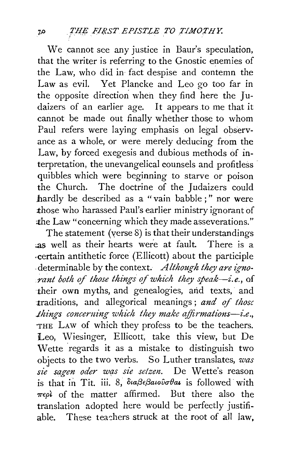We cannot see any justice in Baur's speculation, that the writer is referring to the Gnostic enemies of the Law, who did in fact despise and contemn the Law as evil. Yet Plancke and Leo go too far in the opposite direction when they find here the Judaizers of an earlier age. It appears to me that it cannot be made out finally whether those to whom Paul refers were laying emphasis on legal observance as a whole, or were merely deducing from the Law, by forced exegesis and dubious methods of interpretation, the unevangelical counsels and profitless quibbles which were beginning to starve or poison the Church. The doctrine of the Judaizers could hardly be described as a "vain babble ; " nor were those who harassed Paul's earlier ministry ignorant of the Law "concerning which they made asseverations."

The statement (verse 8) is that their understandings ;as well as their hearts were at fault. There is a .certain antithetic force (Ellicott) about the participle determinable by the context. *Although they are ignorant both of those things of which they speak-i.e., of* ·their own myths, and genealogies, arid texts, and traditions, and allegorical meanings; and of those *things concerning which they make affirmations-i.e.*, THE LAW of which they profess to be the teachers. Leo, Wiesinger, Ellicott, take this view, but De Wette regards it as a mistake to distinguish two objects to the two verbs. So Luther translates, *was sie sagen oder wq;s sz'e selzen.* De Wette's reason is that in Tit. iii. 8, διαβεβαιοῦσθαι is followed with  $\pi\epsilon\rho\iota$  of the matter affirmed. But there also the translation adopted here would be perfectly justifiable. These teachers struck at the root of all law.